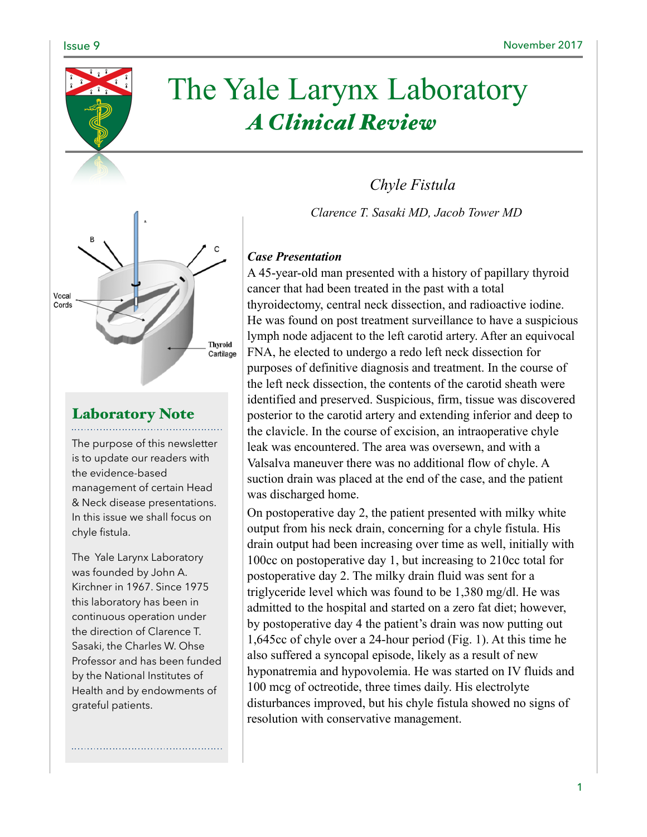

# The Yale Larynx Laboratory *A Clinical Review*



# Laboratory Note

The purpose of this newsletter is to update our readers with the evidence-based management of certain Head & Neck disease presentations. In this issue we shall focus on chyle fistula.

The Yale Larynx Laboratory was founded by John A. Kirchner in 1967. Since 1975 this laboratory has been in continuous operation under the direction of Clarence T. Sasaki, the Charles W. Ohse Professor and has been funded by the National Institutes of Health and by endowments of grateful patients.

## *Case Presentation*

A 45-year-old man presented with a history of papillary thyroid cancer that had been treated in the past with a total thyroidectomy, central neck dissection, and radioactive iodine. He was found on post treatment surveillance to have a suspicious lymph node adjacent to the left carotid artery. After an equivocal FNA, he elected to undergo a redo left neck dissection for purposes of definitive diagnosis and treatment. In the course of the left neck dissection, the contents of the carotid sheath were identified and preserved. Suspicious, firm, tissue was discovered posterior to the carotid artery and extending inferior and deep to the clavicle. In the course of excision, an intraoperative chyle leak was encountered. The area was oversewn, and with a Valsalva maneuver there was no additional flow of chyle. A suction drain was placed at the end of the case, and the patient was discharged home.

*Chyle Fistula* 

*Clarence T. Sasaki MD, Jacob Tower MD* 

On postoperative day 2, the patient presented with milky white output from his neck drain, concerning for a chyle fistula. His drain output had been increasing over time as well, initially with 100cc on postoperative day 1, but increasing to 210cc total for postoperative day 2. The milky drain fluid was sent for a triglyceride level which was found to be 1,380 mg/dl. He was admitted to the hospital and started on a zero fat diet; however, by postoperative day 4 the patient's drain was now putting out 1,645cc of chyle over a 24-hour period (Fig. 1). At this time he also suffered a syncopal episode, likely as a result of new hyponatremia and hypovolemia. He was started on IV fluids and 100 mcg of octreotide, three times daily. His electrolyte disturbances improved, but his chyle fistula showed no signs of resolution with conservative management.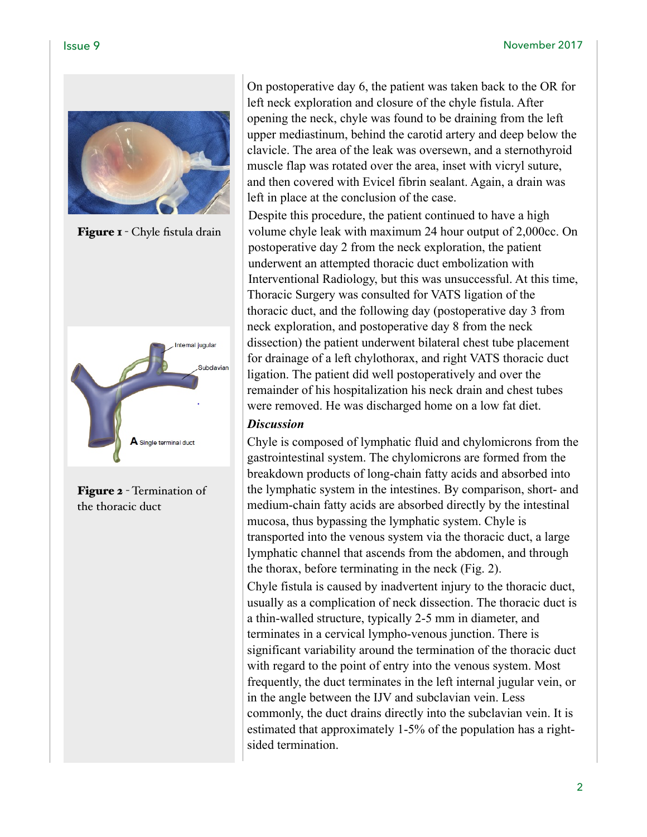

Figure 1 - Chyle fistula drain



Figure 2 - Termination of the thoracic duct

On postoperative day 6, the patient was taken back to the OR for left neck exploration and closure of the chyle fistula. After opening the neck, chyle was found to be draining from the left upper mediastinum, behind the carotid artery and deep below the clavicle. The area of the leak was oversewn, and a sternothyroid muscle flap was rotated over the area, inset with vicryl suture, and then covered with Evicel fibrin sealant. Again, a drain was left in place at the conclusion of the case.

Despite this procedure, the patient continued to have a high volume chyle leak with maximum 24 hour output of 2,000cc. On postoperative day 2 from the neck exploration, the patient underwent an attempted thoracic duct embolization with Interventional Radiology, but this was unsuccessful. At this time, Thoracic Surgery was consulted for VATS ligation of the thoracic duct, and the following day (postoperative day 3 from neck exploration, and postoperative day 8 from the neck dissection) the patient underwent bilateral chest tube placement for drainage of a left chylothorax, and right VATS thoracic duct ligation. The patient did well postoperatively and over the remainder of his hospitalization his neck drain and chest tubes were removed. He was discharged home on a low fat diet.

### *Discussion*

Chyle is composed of lymphatic fluid and chylomicrons from the gastrointestinal system. The chylomicrons are formed from the breakdown products of long-chain fatty acids and absorbed into the lymphatic system in the intestines. By comparison, short- and medium-chain fatty acids are absorbed directly by the intestinal mucosa, thus bypassing the lymphatic system. Chyle is transported into the venous system via the thoracic duct, a large lymphatic channel that ascends from the abdomen, and through the thorax, before terminating in the neck (Fig. 2).

Chyle fistula is caused by inadvertent injury to the thoracic duct, usually as a complication of neck dissection. The thoracic duct is a thin-walled structure, typically 2-5 mm in diameter, and terminates in a cervical lympho-venous junction. There is significant variability around the termination of the thoracic duct with regard to the point of entry into the venous system. Most frequently, the duct terminates in the left internal jugular vein, or in the angle between the IJV and subclavian vein. Less commonly, the duct drains directly into the subclavian vein. It is estimated that approximately 1-5% of the population has a rightsided termination.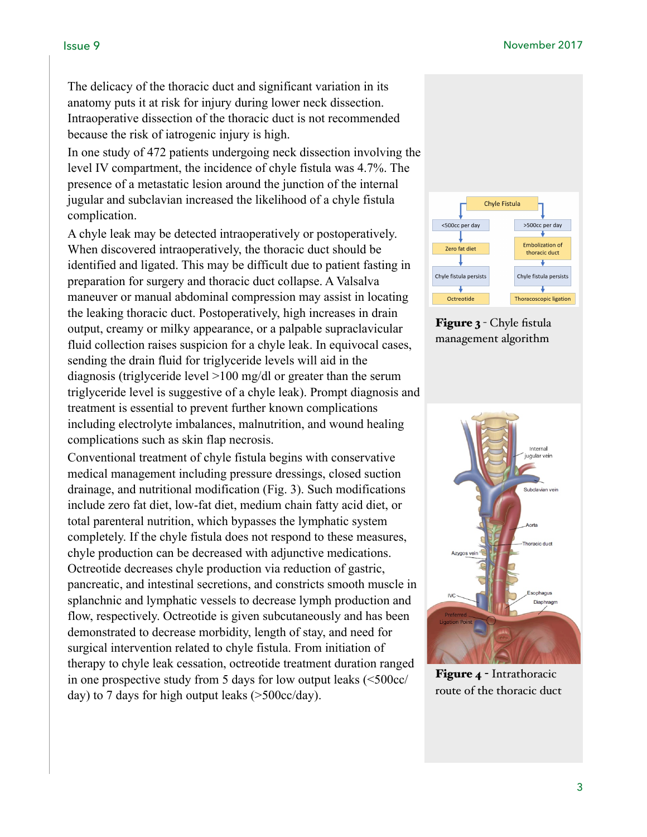The delicacy of the thoracic duct and significant variation in its anatomy puts it at risk for injury during lower neck dissection. Intraoperative dissection of the thoracic duct is not recommended because the risk of iatrogenic injury is high.

In one study of 472 patients undergoing neck dissection involving the level IV compartment, the incidence of chyle fistula was 4.7%. The presence of a metastatic lesion around the junction of the internal jugular and subclavian increased the likelihood of a chyle fistula complication.

A chyle leak may be detected intraoperatively or postoperatively. When discovered intraoperatively, the thoracic duct should be identified and ligated. This may be difficult due to patient fasting in preparation for surgery and thoracic duct collapse. A Valsalva maneuver or manual abdominal compression may assist in locating the leaking thoracic duct. Postoperatively, high increases in drain output, creamy or milky appearance, or a palpable supraclavicular fluid collection raises suspicion for a chyle leak. In equivocal cases, sending the drain fluid for triglyceride levels will aid in the diagnosis (triglyceride level >100 mg/dl or greater than the serum triglyceride level is suggestive of a chyle leak). Prompt diagnosis and treatment is essential to prevent further known complications including electrolyte imbalances, malnutrition, and wound healing complications such as skin flap necrosis.

Conventional treatment of chyle fistula begins with conservative medical management including pressure dressings, closed suction drainage, and nutritional modification (Fig. 3). Such modifications include zero fat diet, low-fat diet, medium chain fatty acid diet, or total parenteral nutrition, which bypasses the lymphatic system completely. If the chyle fistula does not respond to these measures, chyle production can be decreased with adjunctive medications. Octreotide decreases chyle production via reduction of gastric, pancreatic, and intestinal secretions, and constricts smooth muscle in splanchnic and lymphatic vessels to decrease lymph production and flow, respectively. Octreotide is given subcutaneously and has been demonstrated to decrease morbidity, length of stay, and need for surgical intervention related to chyle fistula. From initiation of therapy to chyle leak cessation, octreotide treatment duration ranged in one prospective study from 5 days for low output leaks (<500cc/ day) to 7 days for high output leaks (>500cc/day).



Figure 3 - Chyle fistula management algorithm



Figure 4 - Intrathoracic route of the thoracic duct